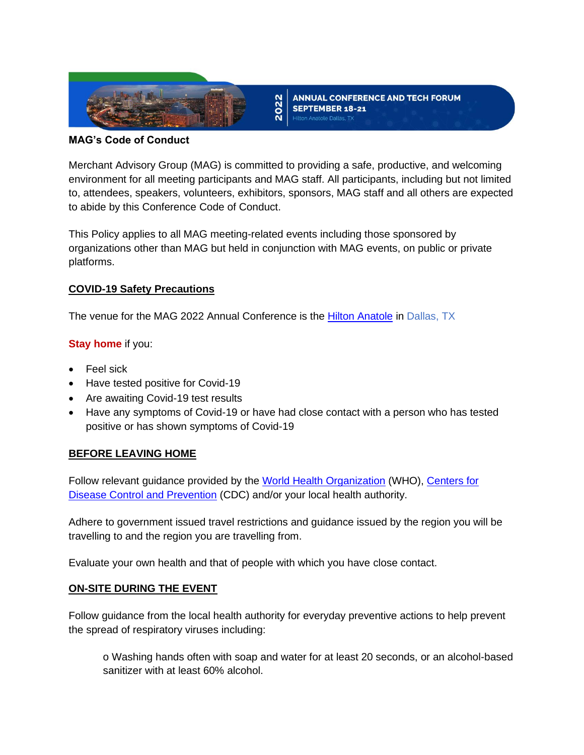

**ANNUAL CONFERENCE AND TECH FORUM** SEPTEMBER 18-21

#### **MAG's Code of Conduct**

Merchant Advisory Group (MAG) is committed to providing a safe, productive, and welcoming environment for all meeting participants and MAG staff. All participants, including but not limited to, attendees, speakers, volunteers, exhibitors, sponsors, MAG staff and all others are expected to abide by this Conference Code of Conduct.

2022

This Policy applies to all MAG meeting-related events including those sponsored by organizations other than MAG but held in conjunction with MAG events, on public or private platforms.

# **COVID-19 Safety Precautions**

The venue for the MAG 2022 Annual Conference is the [Hilton Anatole](https://www3.hilton.com/en/hotels/texas/hilton-anatole-DFWANHH/index.html?SEO_id=GMB-AMER-HI-DFWANHH&y_source=1_MTIyMDgzNy03MTUtbG9jYXRpb24ud2Vic2l0ZQ%3D%3D) in Dallas, TX

# **Stay home** if you:

- Feel sick
- Have tested positive for Covid-19
- Are awaiting Covid-19 test results
- Have any symptoms of Covid-19 or have had close contact with a person who has tested positive or has shown symptoms of Covid-19

# **BEFORE LEAVING HOME**

Follow relevant guidance provided by the [World Health Organization](https://www.who.int/) (WHO), Centers for [Disease Control and Prevention](https://www.cdc.gov/coronavirus/2019-ncov/index.html) (CDC) and/or your local health authority.

Adhere to government issued travel restrictions and guidance issued by the region you will be travelling to and the region you are travelling from.

Evaluate your own health and that of people with which you have close contact.

#### **ON-SITE DURING THE EVENT**

Follow guidance from the local health authority for everyday preventive actions to help prevent the spread of respiratory viruses including:

o Washing hands often with soap and water for at least 20 seconds, or an alcohol-based sanitizer with at least 60% alcohol.